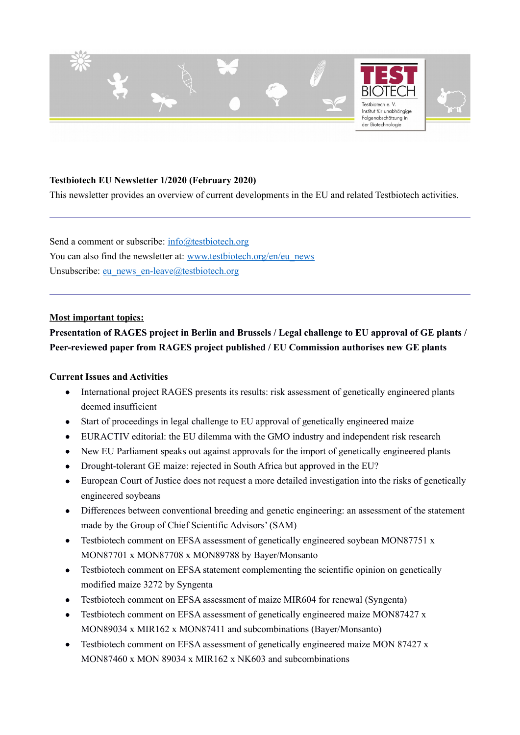

## **Testbiotech EU Newsletter 1/2020 (February 2020)**

This newsletter provides an overview of current developments in the EU and related Testbiotech activities.

Send a comment or subscribe: [info@testbiotech.org](mailto:info@testbiotech.org) You can also find the newsletter at: [www.testbiotech.org/en/eu\\_news](http://www.testbiotech.org/en/eu_news) Unsubscribe: [eu\\_news\\_en-leave@testbiotech.org](mailto:eu_news_en-leave@testbiotech.org)

#### **Most important topics:**

# **Presentation of RAGES project in Berlin and Brussels / Legal challenge to EU approval of GE plants / Peer-reviewed paper from RAGES project published / EU Commission authorises new GE plants**

#### **Current Issues and Activities**

- International project RAGES presents its results: risk assessment of genetically engineered plants deemed insufficient
- Start of proceedings in legal challenge to EU approval of genetically engineered maize
- EURACTIV editorial: the EU dilemma with the GMO industry and independent risk research
- New EU Parliament speaks out against approvals for the import of genetically engineered plants
- Drought-tolerant GE maize: rejected in South Africa but approved in the EU?
- European Court of Justice does not request a more detailed investigation into the risks of genetically engineered soybeans
- Differences between conventional breeding and genetic engineering: an assessment of the statement made by the Group of Chief Scientific Advisors' (SAM)
- Testbiotech comment on EFSA assessment of genetically engineered soybean MON87751 x MON87701 x MON87708 x MON89788 by Bayer/Monsanto
- Testbiotech comment on EFSA statement complementing the scientific opinion on genetically modified maize 3272 by Syngenta
- Testbiotech comment on EFSA assessment of maize MIR604 for renewal (Syngenta)
- Testbiotech comment on EFSA assessment of genetically engineered maize MON87427 x MON89034 x MIR162 x MON87411 and subcombinations (Bayer/Monsanto)
- Testbiotech comment on EFSA assessment of genetically engineered maize MON 87427 x MON87460 x MON 89034 x MIR162 x NK603 and subcombinations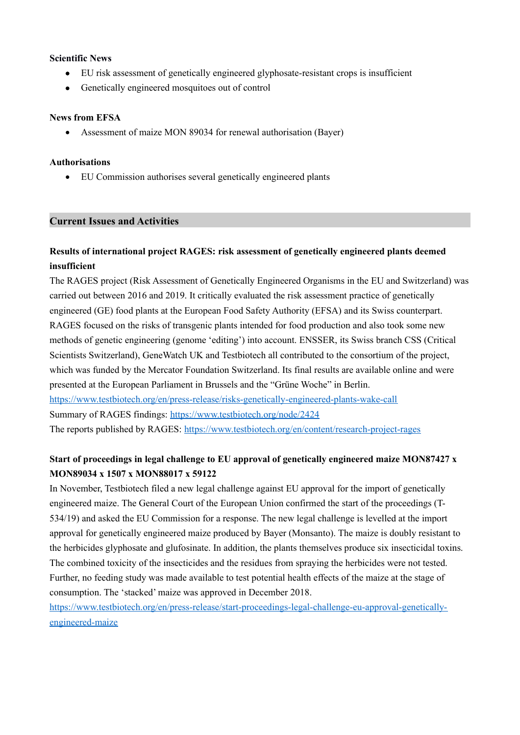#### **Scientific News**

- EU risk assessment of genetically engineered glyphosate-resistant crops is insufficient
- Genetically engineered mosquitoes out of control

### **News from EFSA**

Assessment of maize MON 89034 for renewal authorisation (Bayer)

### **Authorisations**

EU Commission authorises several genetically engineered plants

## **Current Issues and Activities**

## **Results of international project RAGES: risk assessment of genetically engineered plants deemed insufficient**

The RAGES project (Risk Assessment of Genetically Engineered Organisms in the EU and Switzerland) was carried out between 2016 and 2019. It critically evaluated the risk assessment practice of genetically engineered (GE) food plants at the European Food Safety Authority (EFSA) and its Swiss counterpart. RAGES focused on the risks of transgenic plants intended for food production and also took some new methods of genetic engineering (genome 'editing') into account. ENSSER, its Swiss branch CSS (Critical Scientists Switzerland), GeneWatch UK and Testbiotech all contributed to the consortium of the project, which was funded by the Mercator Foundation Switzerland. Its final results are available online and were presented at the European Parliament in Brussels and the "Grüne Woche" in Berlin. <https://www.testbiotech.org/en/press-release/risks-genetically-engineered-plants-wake-call> Summary of RAGES findings: <https://www.testbiotech.org/node/2424> The reports published by RAGES: <https://www.testbiotech.org/en/content/research-project-rages>

# **Start of proceedings in legal challenge to EU approval of genetically engineered maize MON87427 x MON89034 x 1507 x MON88017 x 59122**

In November, Testbiotech filed a new legal challenge against EU approval for the import of genetically engineered maize. The General Court of the European Union confirmed the start of the proceedings (T-534/19) and asked the EU Commission for a response. The new legal challenge is levelled at the import approval for genetically engineered maize produced by Bayer (Monsanto). The maize is doubly resistant to the herbicides glyphosate and glufosinate. In addition, the plants themselves produce six insecticidal toxins. The combined toxicity of the insecticides and the residues from spraying the herbicides were not tested. Further, no feeding study was made available to test potential health effects of the maize at the stage of consumption. The 'stacked' maize was approved in December 2018.

[https://www.testbiotech.org/en/press-release/start-proceedings-legal-challenge-eu-approval-genetically](https://www.testbiotech.org/en/press-release/start-proceedings-legal-challenge-eu-approval-genetically-engineered-maize)[engineered-maize](https://www.testbiotech.org/en/press-release/start-proceedings-legal-challenge-eu-approval-genetically-engineered-maize)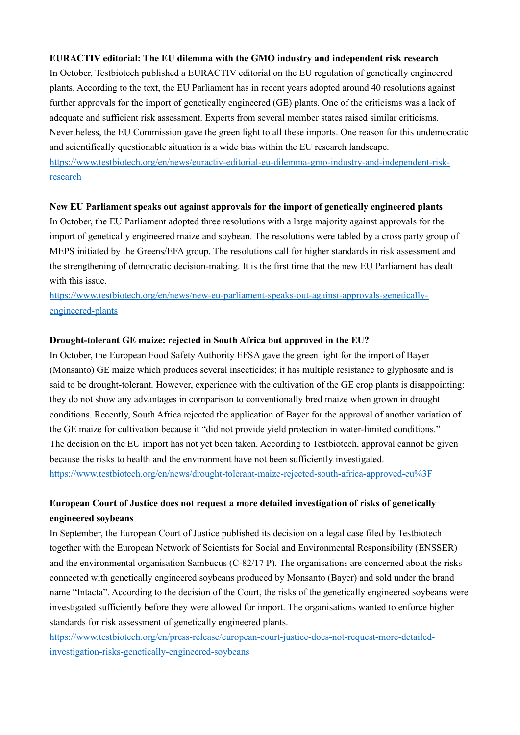#### **EURACTIV editorial: The EU dilemma with the GMO industry and independent risk research**

In October, Testbiotech published a EURACTIV editorial on the EU regulation of genetically engineered plants. According to the text, the EU Parliament has in recent years adopted around 40 resolutions against further approvals for the import of genetically engineered (GE) plants. One of the criticisms was a lack of adequate and sufficient risk assessment. Experts from several member states raised similar criticisms. Nevertheless, the EU Commission gave the green light to all these imports. One reason for this undemocratic and scientifically questionable situation is a wide bias within the EU research landscape. [https://www.testbiotech.org/en/news/euractiv-editorial-eu-dilemma-gmo-industry-and-independent-risk](https://www.testbiotech.org/en/news/euractiv-editorial-eu-dilemma-gmo-industry-and-independent-risk-research)[research](https://www.testbiotech.org/en/news/euractiv-editorial-eu-dilemma-gmo-industry-and-independent-risk-research)

#### **New EU Parliament speaks out against approvals for the import of genetically engineered plants**

In October, the EU Parliament adopted three resolutions with a large majority against approvals for the import of genetically engineered maize and soybean. The resolutions were tabled by a cross party group of MEPS initiated by the Greens/EFA group. The resolutions call for higher standards in risk assessment and the strengthening of democratic decision-making. It is the first time that the new EU Parliament has dealt with this issue.

[https://www.testbiotech.org/en/news/new-eu-parliament-speaks-out-against-approvals-genetically](https://www.testbiotech.org/en/news/new-eu-parliament-speaks-out-against-approvals-genetically-engineered-plants)[engineered-plants](https://www.testbiotech.org/en/news/new-eu-parliament-speaks-out-against-approvals-genetically-engineered-plants)

#### **Drought-tolerant GE maize: rejected in South Africa but approved in the EU?**

In October, the European Food Safety Authority EFSA gave the green light for the import of Bayer (Monsanto) GE maize which produces several insecticides; it has multiple resistance to glyphosate and is said to be drought-tolerant. However, experience with the cultivation of the GE crop plants is disappointing: they do not show any advantages in comparison to conventionally bred maize when grown in drought conditions. Recently, South Africa rejected the application of Bayer for the approval of another variation of the GE maize for cultivation because it "did not provide yield protection in water-limited conditions." The decision on the EU import has not yet been taken. According to Testbiotech, approval cannot be given because the risks to health and the environment have not been sufficiently investigated. <https://www.testbiotech.org/en/news/drought-tolerant-maize-rejected-south-africa-approved-eu%3F>

# **European Court of Justice does not request a more detailed investigation of risks of genetically engineered soybeans**

In September, the European Court of Justice published its decision on a legal case filed by Testbiotech together with the European Network of Scientists for Social and Environmental Responsibility (ENSSER) and the environmental organisation Sambucus (C-82/17 P). The organisations are concerned about the risks connected with genetically engineered soybeans produced by Monsanto (Bayer) and sold under the brand name "Intacta". According to the decision of the Court, the risks of the genetically engineered soybeans were investigated sufficiently before they were allowed for import. The organisations wanted to enforce higher standards for risk assessment of genetically engineered plants.

[https://www.testbiotech.org/en/press-release/european-court-justice-does-not-request-more-detailed](https://www.testbiotech.org/en/press-release/european-court-justice-does-not-request-more-detailed-investigation-risks-genetically-engineered-soybeans)[investigation-risks-genetically-engineered-soybeans](https://www.testbiotech.org/en/press-release/european-court-justice-does-not-request-more-detailed-investigation-risks-genetically-engineered-soybeans)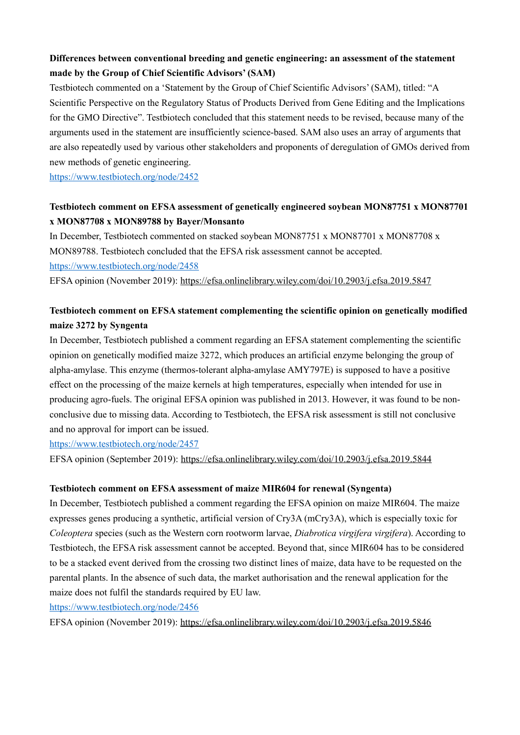# **Differences between conventional breeding and genetic engineering: an assessment of the statement made by the Group of Chief Scientific Advisors' (SAM)**

Testbiotech commented on a 'Statement by the Group of Chief Scientific Advisors' (SAM), titled: "A Scientific Perspective on the Regulatory Status of Products Derived from Gene Editing and the Implications for the GMO Directive". Testbiotech concluded that this statement needs to be revised, because many of the arguments used in the statement are insufficiently science-based. SAM also uses an array of arguments that are also repeatedly used by various other stakeholders and proponents of deregulation of GMOs derived from new methods of genetic engineering.

<https://www.testbiotech.org/node/2452>

# **Testbiotech comment on EFSA assessment of genetically engineered soybean MON87751 x MON87701 x MON87708 x MON89788 by Bayer/Monsanto**

In December, Testbiotech commented on stacked soybean MON87751 x MON87701 x MON87708 x MON89788. Testbiotech concluded that the EFSA risk assessment cannot be accepted. <https://www.testbiotech.org/node/2458>

EFSA opinion (November 2019):<https://efsa.onlinelibrary.wiley.com/doi/10.2903/j.efsa.2019.5847>

# **Testbiotech comment on EFSA statement complementing the scientific opinion on genetically modified maize 3272 by Syngenta**

In December, Testbiotech published a comment regarding an EFSA statement complementing the scientific opinion on genetically modified maize 3272, which produces an artificial enzyme belonging the group of alpha-amylase. This enzyme (thermos-tolerant alpha-amylase AMY797E) is supposed to have a positive effect on the processing of the maize kernels at high temperatures, especially when intended for use in producing agro-fuels. The original EFSA opinion was published in 2013. However, it was found to be nonconclusive due to missing data. According to Testbiotech, the EFSA risk assessment is still not conclusive and no approval for import can be issued.

<https://www.testbiotech.org/node/2457>

EFSA opinion (September 2019):<https://efsa.onlinelibrary.wiley.com/doi/10.2903/j.efsa.2019.5844>

## **Testbiotech comment on EFSA assessment of maize MIR604 for renewal (Syngenta)**

In December, Testbiotech published a comment regarding the EFSA opinion on maize MIR604. The maize expresses genes producing a synthetic, artificial version of Cry3A (mCry3A), which is especially toxic for *Coleoptera* species (such as the Western corn rootworm larvae, *Diabrotica virgifera virgifera*). According to Testbiotech, the EFSA risk assessment cannot be accepted. Beyond that, since MIR604 has to be considered to be a stacked event derived from the crossing two distinct lines of maize, data have to be requested on the parental plants. In the absence of such data, the market authorisation and the renewal application for the maize does not fulfil the standards required by EU law.

<https://www.testbiotech.org/node/2456>

EFSA opinion (November 2019):<https://efsa.onlinelibrary.wiley.com/doi/10.2903/j.efsa.2019.5846>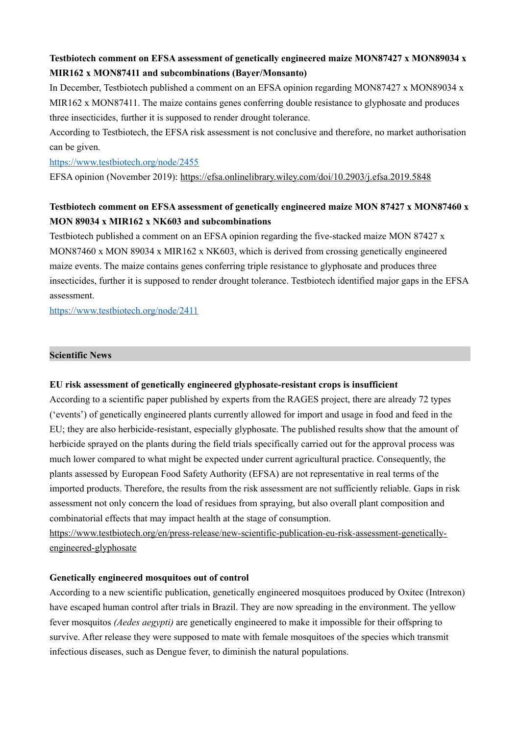## **Testbiotech comment on EFSA assessment of genetically engineered maize MON87427 x MON89034 x MIR162 x MON87411 and subcombinations (Bayer/Monsanto)**

In December, Testbiotech published a comment on an EFSA opinion regarding MON87427 x MON89034 x MIR162 x MON87411. The maize contains genes conferring double resistance to glyphosate and produces three insecticides, further it is supposed to render drought tolerance.

According to Testbiotech, the EFSA risk assessment is not conclusive and therefore, no market authorisation can be given.

<https://www.testbiotech.org/node/2455>

EFSA opinion (November 2019):<https://efsa.onlinelibrary.wiley.com/doi/10.2903/j.efsa.2019.5848>

# **Testbiotech comment on EFSA assessment of genetically engineered maize MON 87427 x MON87460 x MON 89034 x MIR162 x NK603 and subcombinations**

Testbiotech published a comment on an EFSA opinion regarding the five-stacked maize MON 87427 x MON87460 x MON 89034 x MIR162 x NK603, which is derived from crossing genetically engineered maize events. The maize contains genes conferring triple resistance to glyphosate and produces three insecticides, further it is supposed to render drought tolerance. Testbiotech identified major gaps in the EFSA assessment.

<https://www.testbiotech.org/node/2411>

## **Scientific News**

## **EU risk assessment of genetically engineered glyphosate-resistant crops is insufficient**

According to a scientific paper published by experts from the RAGES project, there are already 72 types ('events') of genetically engineered plants currently allowed for import and usage in food and feed in the EU; they are also herbicide-resistant, especially glyphosate. The published results show that the amount of herbicide sprayed on the plants during the field trials specifically carried out for the approval process was much lower compared to what might be expected under current agricultural practice. Consequently, the plants assessed by European Food Safety Authority (EFSA) are not representative in real terms of the imported products. Therefore, the results from the risk assessment are not sufficiently reliable. Gaps in risk assessment not only concern the load of residues from spraying, but also overall plant composition and combinatorial effects that may impact health at the stage of consumption.

[https://www.testbiotech.org/en/press-release/new-scientific-publication-eu-risk-assessment-genetically](https://www.testbiotech.org/en/press-release/new-scientific-publication-eu-risk-assessment-genetically-engineered-glyphosate)[engineered-glyphosate](https://www.testbiotech.org/en/press-release/new-scientific-publication-eu-risk-assessment-genetically-engineered-glyphosate)

## **Genetically engineered mosquitoes out of control**

According to a new scientific publication, genetically engineered mosquitoes produced by Oxitec (Intrexon) have escaped human control after trials in Brazil. They are now spreading in the environment. The yellow fever mosquitos *(Aedes aegypti)* are genetically engineered to make it impossible for their offspring to survive. After release they were supposed to mate with female mosquitoes of the species which transmit infectious diseases, such as Dengue fever, to diminish the natural populations.